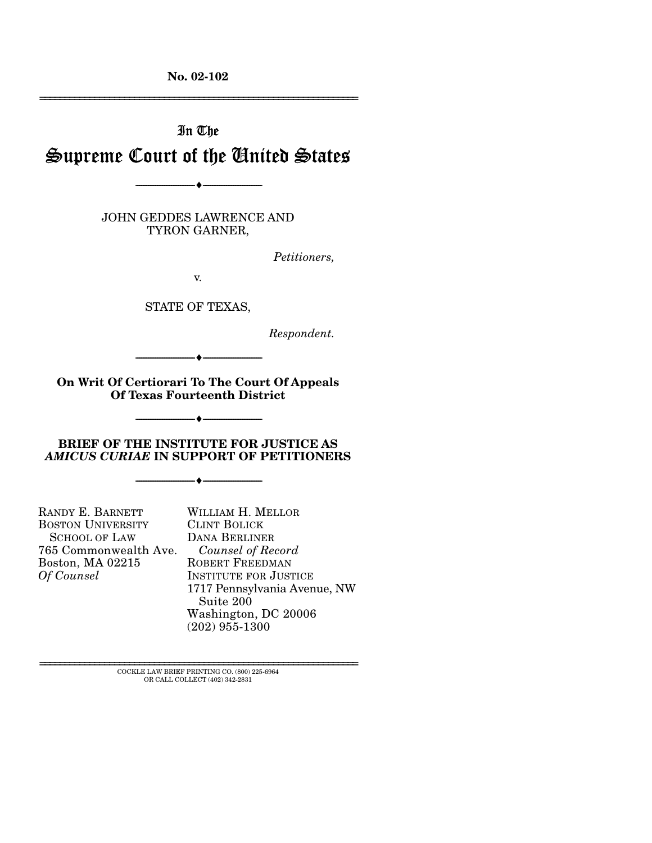**No. 02-102**  ================================================================

# In The Supreme Court of the United States

--------------------------------- ♦ ---------------------------------

JOHN GEDDES LAWRENCE AND TYRON GARNER,

*Petitioners,* 

v.

STATE OF TEXAS,

*Respondent.* 

--------------------------------- ♦ ---------------------------------

**On Writ Of Certiorari To The Court Of Appeals Of Texas Fourteenth District** 

--------------------------------- ♦ ---------------------------------

### **BRIEF OF THE INSTITUTE FOR JUSTICE AS**  *AMICUS CURIAE* **IN SUPPORT OF PETITIONERS**

--------------------------------- ♦ ---------------------------------

RANDY E. BARNETT BOSTON UNIVERSITY SCHOOL OF LAW 765 Commonwealth Ave. Boston, MA 02215 *Of Counsel*

WILLIAM H. MELLOR CLINT BOLICK DANA BERLINER *Counsel of Record*  ROBERT FREEDMAN INSTITUTE FOR JUSTICE 1717 Pennsylvania Avenue, NW Suite 200 Washington, DC 20006 (202) 955-1300

 ${\rm COCKLE}$  LAW BRIEF PRINTING CO. (800) 225-6964 OR CALL COLLECT (402) 342-2831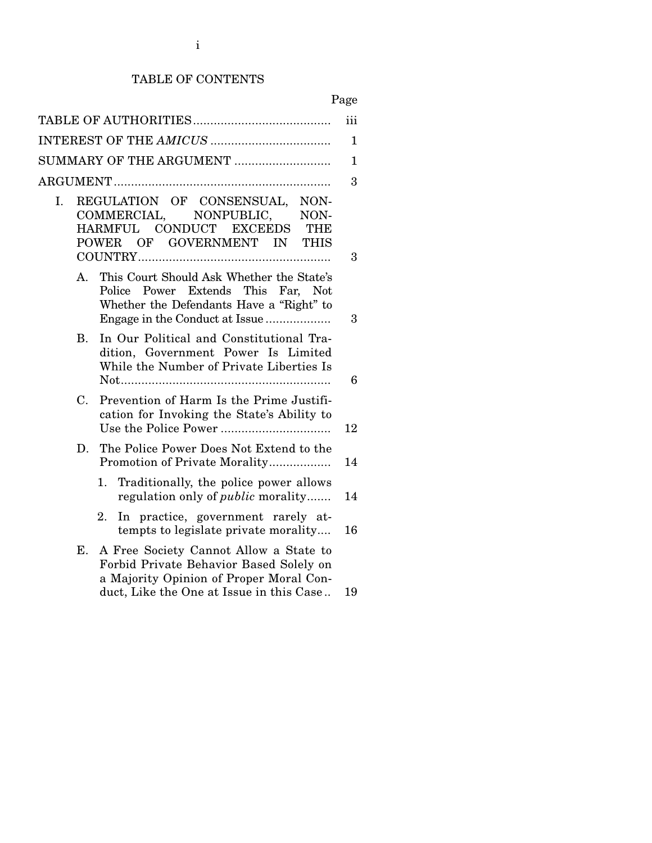# TABLE OF CONTENTS

# Page

|                |                                                                                                                                                                  | iii          |  |
|----------------|------------------------------------------------------------------------------------------------------------------------------------------------------------------|--------------|--|
|                |                                                                                                                                                                  |              |  |
|                | SUMMARY OF THE ARGUMENT                                                                                                                                          | $\mathbf{1}$ |  |
|                |                                                                                                                                                                  | 3            |  |
| I.             | REGULATION OF CONSENSUAL,<br>NON-<br>COMMERCIAL, NONPUBLIC,<br>NON-<br>HARMFUL CONDUCT EXCEEDS<br><b>THE</b><br>POWER OF GOVERNMENT IN<br><b>THIS</b>            | 3            |  |
| А.             | This Court Should Ask Whether the State's<br>Power Extends This Far, Not<br>Police<br>Whether the Defendants Have a "Right" to<br>Engage in the Conduct at Issue | 3            |  |
| $\mathbf{B}$ . | In Our Political and Constitutional Tra-<br>dition, Government Power Is Limited<br>While the Number of Private Liberties Is                                      | 6            |  |
| $C_{\cdot}$    | Prevention of Harm Is the Prime Justifi-<br>cation for Invoking the State's Ability to                                                                           | 12           |  |
| D.             | The Police Power Does Not Extend to the<br>Promotion of Private Morality                                                                                         | 14           |  |
|                | Traditionally, the police power allows<br>1.<br>regulation only of <i>public</i> morality                                                                        | 14           |  |
|                | In practice, government rarely at-<br>2.<br>tempts to legislate private morality                                                                                 | 16           |  |
| Е.             | A Free Society Cannot Allow a State to<br>Forbid Private Behavior Based Solely on<br>a Majority Opinion of Proper Moral Con-                                     |              |  |
|                | duct, Like the One at Issue in this Case                                                                                                                         | 19           |  |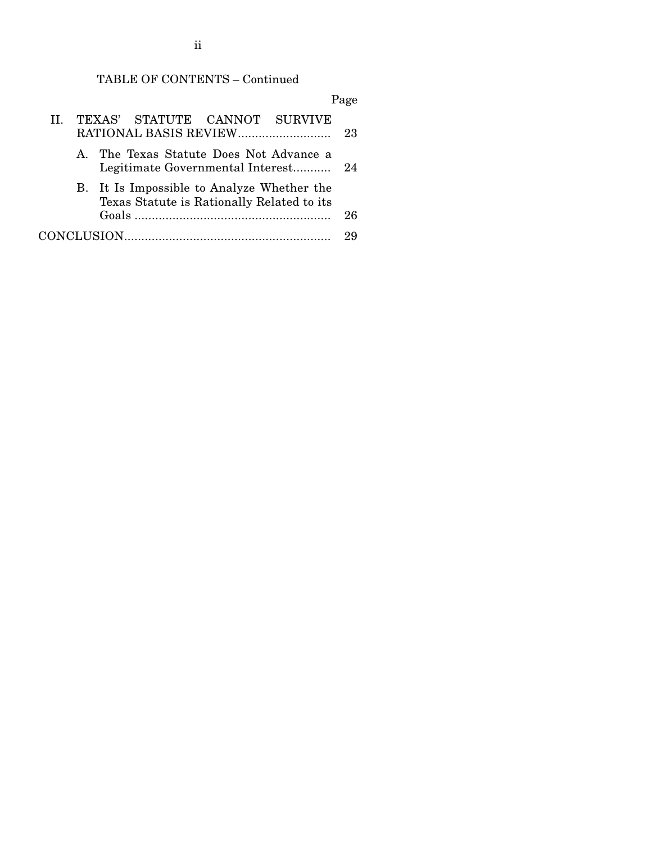# TABLE OF CONTENTS – Continued

|     |  |                                                                                          |  | Page |
|-----|--|------------------------------------------------------------------------------------------|--|------|
| TT. |  | TEXAS' STATUTE CANNOT SURVIVE                                                            |  | 23   |
|     |  | A. The Texas Statute Does Not Advance a<br>Legitimate Governmental Interest              |  | - 24 |
|     |  | B. It Is Impossible to Analyze Whether the<br>Texas Statute is Rationally Related to its |  |      |
|     |  |                                                                                          |  | 26   |
|     |  |                                                                                          |  |      |

ii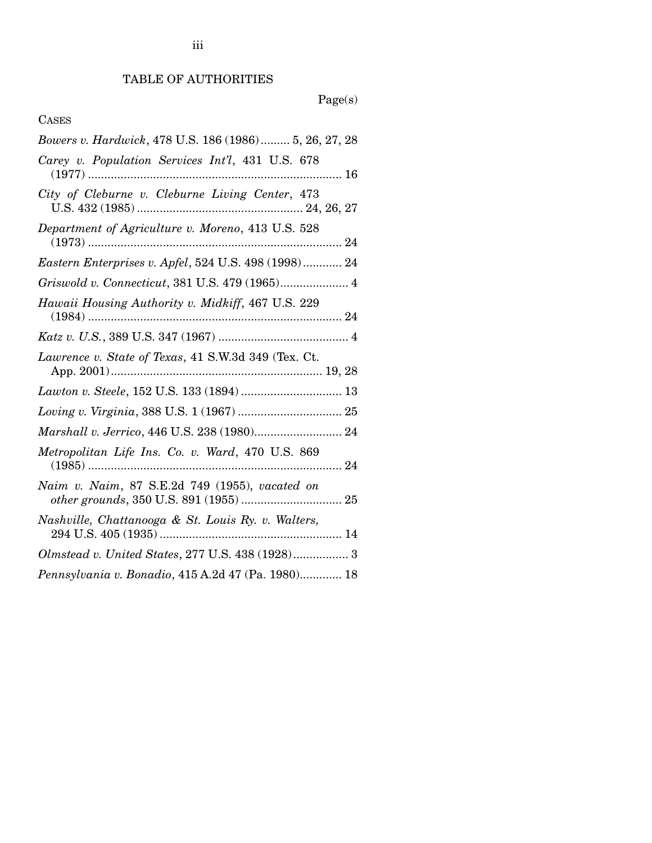# Page(s)

# CASES

| Bowers v. Hardwick, 478 U.S. 186 (1986) 5, 26, 27, 28 |  |
|-------------------------------------------------------|--|
| Carey v. Population Services Int'l, 431 U.S. 678      |  |
| City of Cleburne v. Cleburne Living Center, 473       |  |
| Department of Agriculture v. Moreno, 413 U.S. 528     |  |
| Eastern Enterprises v. Apfel, 524 U.S. 498 (1998) 24  |  |
| Griswold v. Connecticut, 381 U.S. 479 (1965) 4        |  |
| Hawaii Housing Authority v. Midkiff, 467 U.S. 229     |  |
|                                                       |  |
| Lawrence v. State of Texas, 41 S.W.3d 349 (Tex. Ct.   |  |
|                                                       |  |
|                                                       |  |
| Marshall v. Jerrico, 446 U.S. 238 (1980) 24           |  |
| Metropolitan Life Ins. Co. v. Ward, 470 U.S. 869      |  |
| Naim v. Naim, 87 S.E.2d 749 (1955), vacated on        |  |
|                                                       |  |
| Nashville, Chattanooga & St. Louis Ry. v. Walters,    |  |
| Olmstead v. United States, 277 U.S. 438 (1928) 3      |  |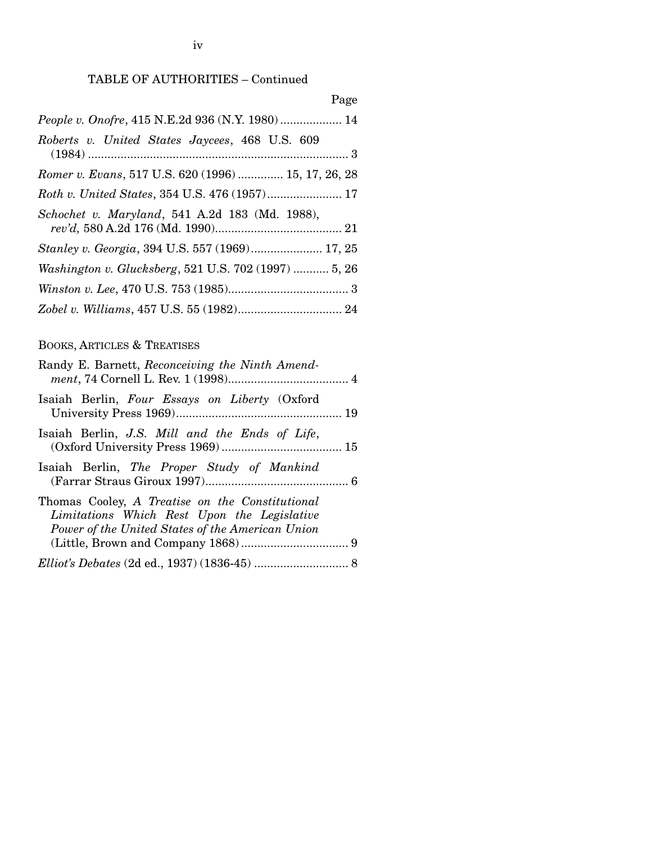# TABLE OF AUTHORITIES – Continued

| Page                                                  |  |
|-------------------------------------------------------|--|
| People v. Onofre, 415 N.E.2d 936 (N.Y. 1980) 14       |  |
| Roberts v. United States Jaycees, 468 U.S. 609        |  |
| Romer v. Evans, 517 U.S. 620 (1996)  15, 17, 26, 28   |  |
|                                                       |  |
| Schochet v. Maryland, 541 A.2d 183 (Md. 1988),        |  |
| <i>Stanley v. Georgia, 394 U.S. 557 (1969) 17, 25</i> |  |
| Washington v. Glucksberg, 521 U.S. 702 (1997)  5, 26  |  |
|                                                       |  |
|                                                       |  |

# BOOKS, ARTICLES & TREATISES

| Randy E. Barnett, Reconceiving the Ninth Amend-                                                                                                    |  |
|----------------------------------------------------------------------------------------------------------------------------------------------------|--|
| Isaiah Berlin, Four Essays on Liberty (Oxford                                                                                                      |  |
| Isaiah Berlin, J.S. Mill and the Ends of Life,                                                                                                     |  |
| Isaiah Berlin, The Proper Study of Mankind                                                                                                         |  |
| Thomas Cooley, A Treatise on the Constitutional<br>Limitations Which Rest Upon the Legislative<br>Power of the United States of the American Union |  |
|                                                                                                                                                    |  |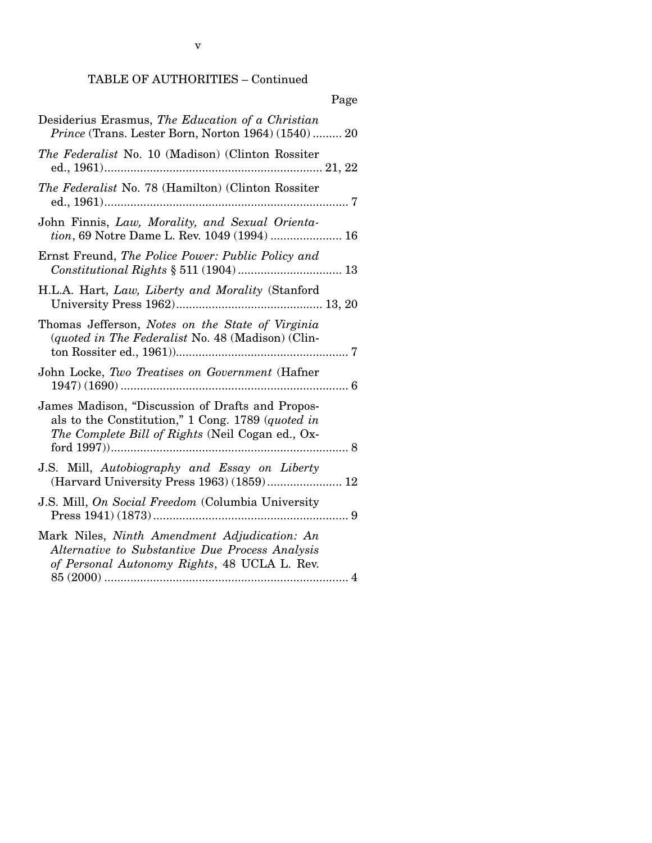# TABLE OF AUTHORITIES – Continued

|                                                                                                                                                           | Page |
|-----------------------------------------------------------------------------------------------------------------------------------------------------------|------|
| Desiderius Erasmus, The Education of a Christian<br><i>Prince</i> (Trans. Lester Born, Norton 1964) (1540) 20                                             |      |
| The Federalist No. 10 (Madison) (Clinton Rossiter                                                                                                         |      |
| The Federalist No. 78 (Hamilton) (Clinton Rossiter                                                                                                        |      |
| John Finnis, Law, Morality, and Sexual Orienta-<br>tion, 69 Notre Dame L. Rev. 1049 (1994)  16                                                            |      |
| Ernst Freund, The Police Power: Public Policy and                                                                                                         |      |
| H.L.A. Hart, Law, Liberty and Morality (Stanford                                                                                                          |      |
| Thomas Jefferson, Notes on the State of Virginia<br>(quoted in The Federalist No. 48 (Madison) (Clin-                                                     |      |
| John Locke, Two Treatises on Government (Hafner                                                                                                           |      |
| James Madison, "Discussion of Drafts and Propos-<br>als to the Constitution," 1 Cong. 1789 (quoted in<br>The Complete Bill of Rights (Neil Cogan ed., Ox- |      |
| J.S. Mill, Autobiography and Essay on Liberty<br>(Harvard University Press 1963) (1859) 12                                                                |      |
| J.S. Mill, On Social Freedom (Columbia University                                                                                                         |      |
| Mark Niles, Ninth Amendment Adjudication: An<br>Alternative to Substantive Due Process Analysis<br>of Personal Autonomy Rights, 48 UCLA L. Rev.           |      |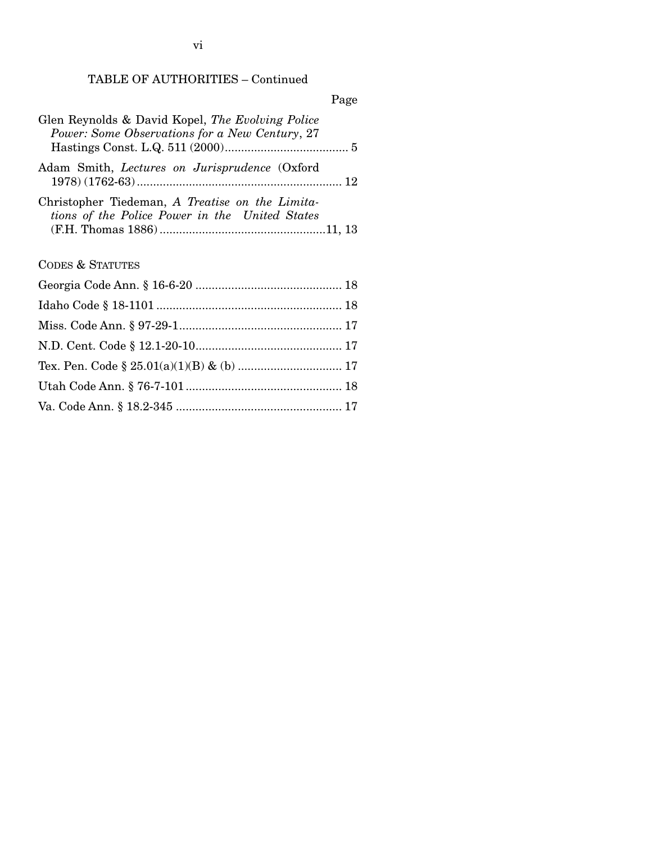TABLE OF AUTHORITIES – Continued

| Glen Reynolds & David Kopel, The Evolving Police<br>Power: Some Observations for a New Century, 27 |
|----------------------------------------------------------------------------------------------------|
| Adam Smith, Lectures on Jurisprudence (Oxford                                                      |
| Christopher Tiedeman, A Treatise on the Limita-<br>tions of the Police Power in the United States  |
| <b>CODES &amp; STATUTES</b>                                                                        |
|                                                                                                    |
|                                                                                                    |
|                                                                                                    |
|                                                                                                    |
|                                                                                                    |
|                                                                                                    |
|                                                                                                    |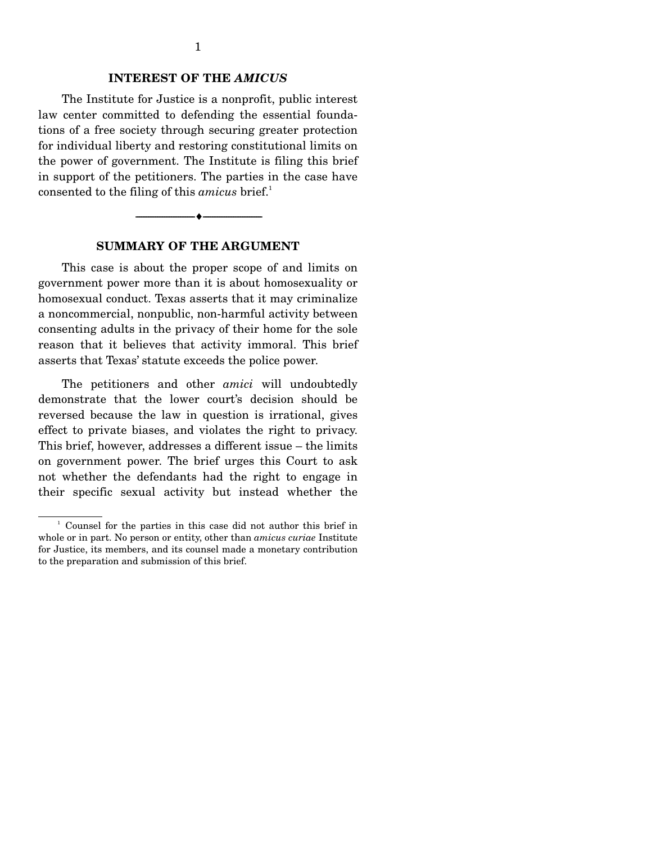### **INTEREST OF THE** *AMICUS*

 The Institute for Justice is a nonprofit, public interest law center committed to defending the essential foundations of a free society through securing greater protection for individual liberty and restoring constitutional limits on the power of government. The Institute is filing this brief in support of the petitioners. The parties in the case have consented to the filing of this *amicus* brief.<sup>1</sup>



#### **SUMMARY OF THE ARGUMENT**

 This case is about the proper scope of and limits on government power more than it is about homosexuality or homosexual conduct. Texas asserts that it may criminalize a noncommercial, nonpublic, non-harmful activity between consenting adults in the privacy of their home for the sole reason that it believes that activity immoral. This brief asserts that Texas' statute exceeds the police power.

 The petitioners and other *amici* will undoubtedly demonstrate that the lower court's decision should be reversed because the law in question is irrational, gives effect to private biases, and violates the right to privacy. This brief, however, addresses a different issue – the limits on government power. The brief urges this Court to ask not whether the defendants had the right to engage in their specific sexual activity but instead whether the

 $\frac{1}{2}$  Counsel for the parties in this case did not author this brief in whole or in part. No person or entity, other than *amicus curiae* Institute for Justice, its members, and its counsel made a monetary contribution to the preparation and submission of this brief.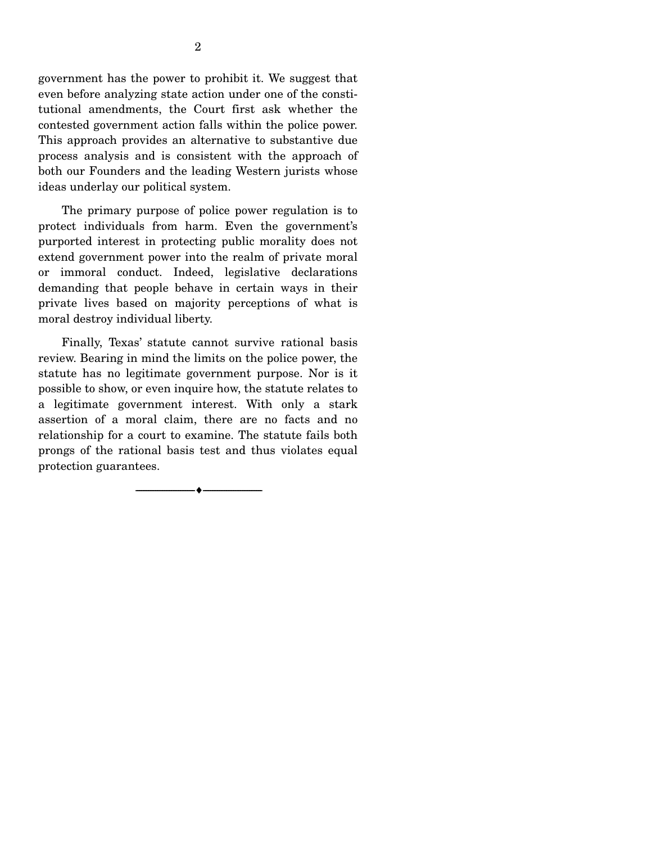government has the power to prohibit it. We suggest that even before analyzing state action under one of the constitutional amendments, the Court first ask whether the contested government action falls within the police power. This approach provides an alternative to substantive due process analysis and is consistent with the approach of both our Founders and the leading Western jurists whose ideas underlay our political system.

 The primary purpose of police power regulation is to protect individuals from harm. Even the government's purported interest in protecting public morality does not extend government power into the realm of private moral or immoral conduct. Indeed, legislative declarations demanding that people behave in certain ways in their private lives based on majority perceptions of what is moral destroy individual liberty.

 Finally, Texas' statute cannot survive rational basis review. Bearing in mind the limits on the police power, the statute has no legitimate government purpose. Nor is it possible to show, or even inquire how, the statute relates to a legitimate government interest. With only a stark assertion of a moral claim, there are no facts and no relationship for a court to examine. The statute fails both prongs of the rational basis test and thus violates equal protection guarantees.

--------------------------------- ♦ ---------------------------------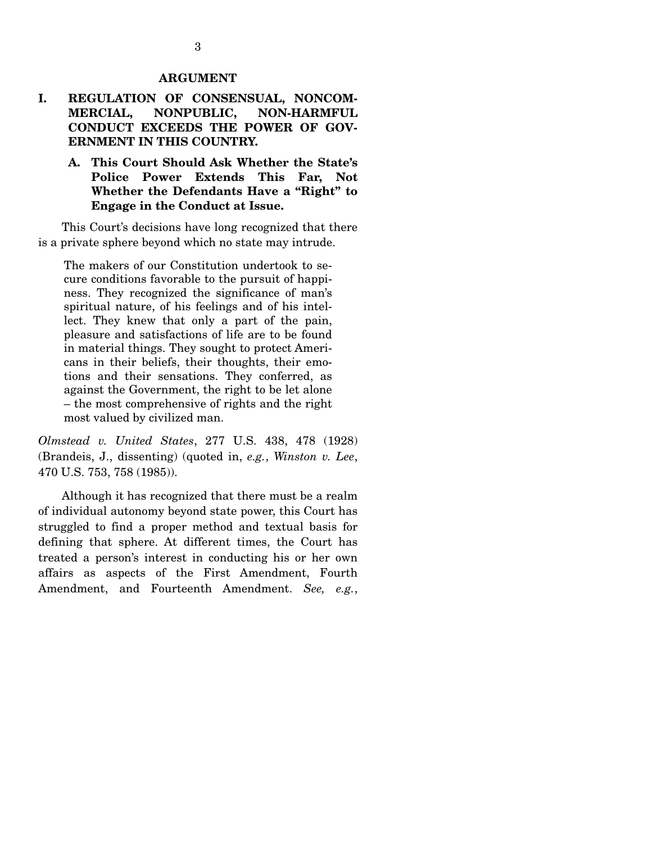#### **ARGUMENT**

# **I. REGULATION OF CONSENSUAL, NONCOM-MERCIAL, NONPUBLIC, NON-HARMFUL CONDUCT EXCEEDS THE POWER OF GOV-ERNMENT IN THIS COUNTRY.**

# **A. This Court Should Ask Whether the State's Police Power Extends This Far, Not Whether the Defendants Have a "Right" to Engage in the Conduct at Issue.**

 This Court's decisions have long recognized that there is a private sphere beyond which no state may intrude.

The makers of our Constitution undertook to secure conditions favorable to the pursuit of happiness. They recognized the significance of man's spiritual nature, of his feelings and of his intellect. They knew that only a part of the pain, pleasure and satisfactions of life are to be found in material things. They sought to protect Americans in their beliefs, their thoughts, their emotions and their sensations. They conferred, as against the Government, the right to be let alone – the most comprehensive of rights and the right most valued by civilized man.

*Olmstead v. United States*, 277 U.S. 438, 478 (1928) (Brandeis, J., dissenting) (quoted in, *e.g.*, *Winston v. Lee*, 470 U.S. 753, 758 (1985)).

 Although it has recognized that there must be a realm of individual autonomy beyond state power, this Court has struggled to find a proper method and textual basis for defining that sphere. At different times, the Court has treated a person's interest in conducting his or her own affairs as aspects of the First Amendment, Fourth Amendment, and Fourteenth Amendment. *See, e.g.*,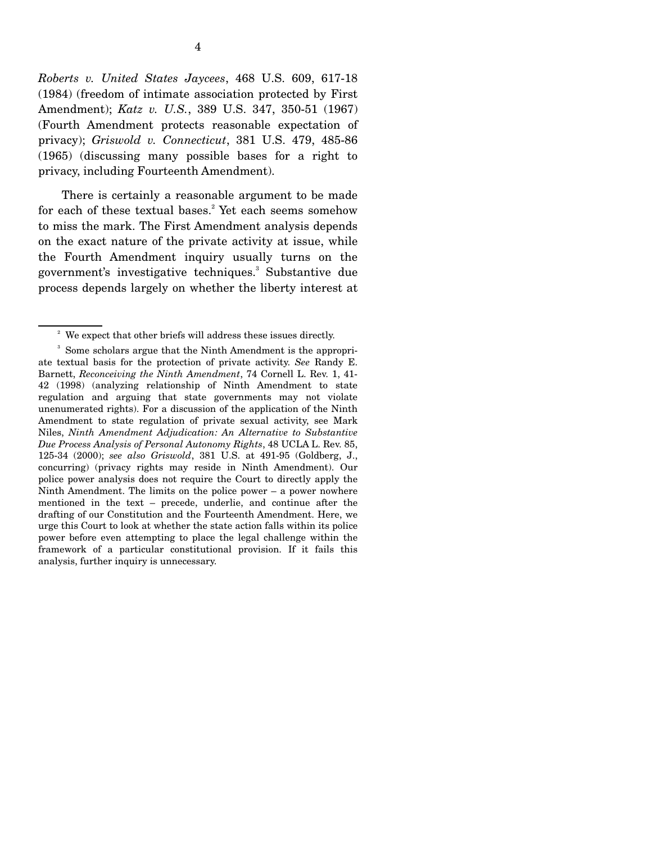*Roberts v. United States Jaycees*, 468 U.S. 609, 617-18 (1984) (freedom of intimate association protected by First Amendment); *Katz v. U.S.*, 389 U.S. 347, 350-51 (1967) (Fourth Amendment protects reasonable expectation of privacy); *Griswold v. Connecticut*, 381 U.S. 479, 485-86 (1965) (discussing many possible bases for a right to privacy, including Fourteenth Amendment).

 There is certainly a reasonable argument to be made for each of these textual bases.<sup>2</sup> Yet each seems somehow to miss the mark. The First Amendment analysis depends on the exact nature of the private activity at issue, while the Fourth Amendment inquiry usually turns on the government's investigative techniques.<sup>3</sup> Substantive due process depends largely on whether the liberty interest at

<sup>&</sup>lt;sup>2</sup> We expect that other briefs will address these issues directly.

<sup>&</sup>lt;sup>3</sup> Some scholars argue that the Ninth Amendment is the appropriate textual basis for the protection of private activity. *See* Randy E. Barnett, *Reconceiving the Ninth Amendment*, 74 Cornell L. Rev. 1, 41- 42 (1998) (analyzing relationship of Ninth Amendment to state regulation and arguing that state governments may not violate unenumerated rights). For a discussion of the application of the Ninth Amendment to state regulation of private sexual activity, see Mark Niles, *Ninth Amendment Adjudication: An Alternative to Substantive Due Process Analysis of Personal Autonomy Rights*, 48 UCLA L. Rev. 85, 125-34 (2000); *see also Griswold*, 381 U.S. at 491-95 (Goldberg, J., concurring) (privacy rights may reside in Ninth Amendment). Our police power analysis does not require the Court to directly apply the Ninth Amendment. The limits on the police power – a power nowhere mentioned in the text – precede, underlie, and continue after the drafting of our Constitution and the Fourteenth Amendment. Here, we urge this Court to look at whether the state action falls within its police power before even attempting to place the legal challenge within the framework of a particular constitutional provision. If it fails this analysis, further inquiry is unnecessary.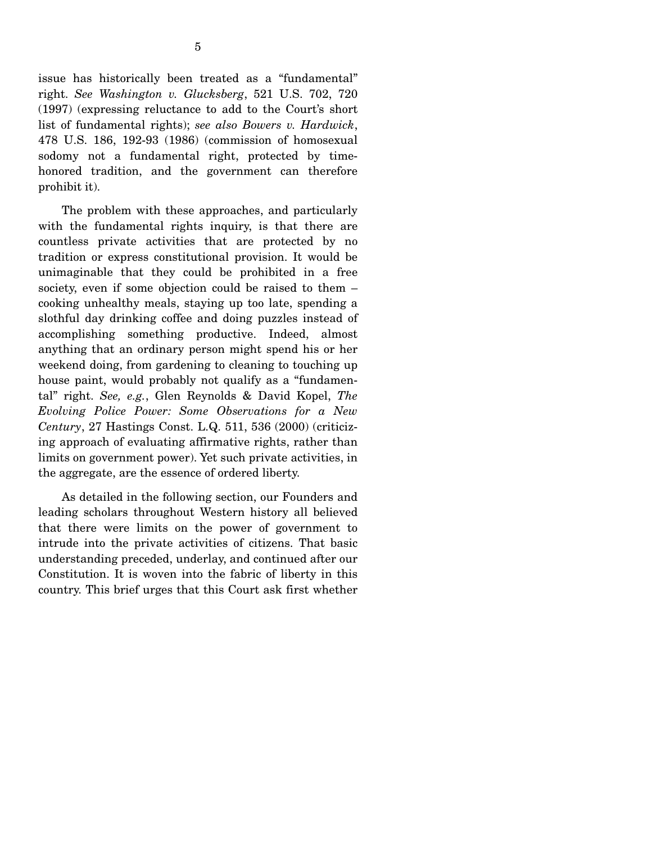honored tradition, and the government can therefore

prohibit it).

 The problem with these approaches, and particularly with the fundamental rights inquiry, is that there are countless private activities that are protected by no tradition or express constitutional provision. It would be unimaginable that they could be prohibited in a free society, even if some objection could be raised to them – cooking unhealthy meals, staying up too late, spending a slothful day drinking coffee and doing puzzles instead of accomplishing something productive. Indeed, almost anything that an ordinary person might spend his or her weekend doing, from gardening to cleaning to touching up house paint, would probably not qualify as a "fundamental" right. *See, e.g.*, Glen Reynolds & David Kopel, *The Evolving Police Power: Some Observations for a New Century*, 27 Hastings Const. L.Q. 511, 536 (2000) (criticizing approach of evaluating affirmative rights, rather than limits on government power). Yet such private activities, in the aggregate, are the essence of ordered liberty.

 As detailed in the following section, our Founders and leading scholars throughout Western history all believed that there were limits on the power of government to intrude into the private activities of citizens. That basic understanding preceded, underlay, and continued after our Constitution. It is woven into the fabric of liberty in this country. This brief urges that this Court ask first whether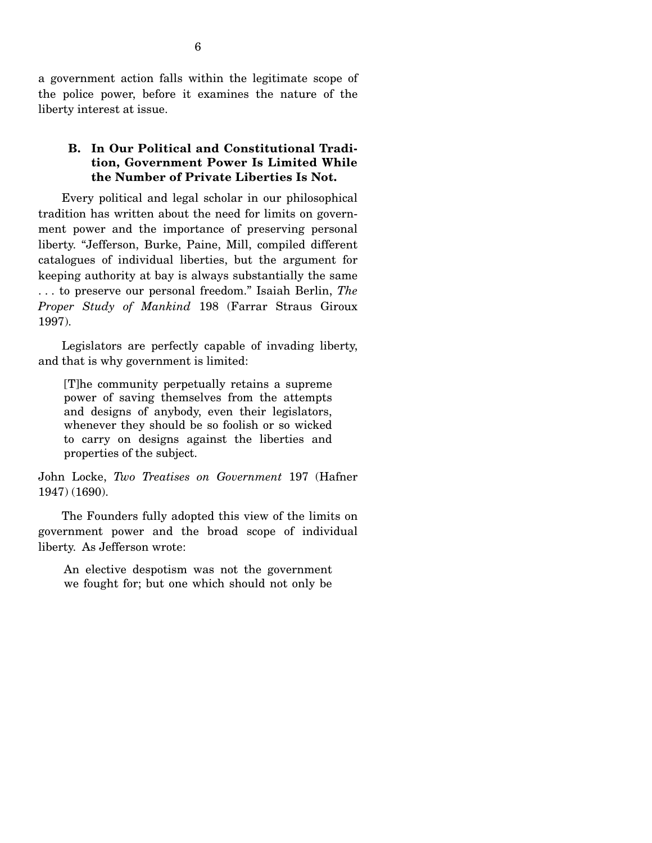a government action falls within the legitimate scope of the police power, before it examines the nature of the liberty interest at issue.

# **B. In Our Political and Constitutional Tradition, Government Power Is Limited While the Number of Private Liberties Is Not.**

 Every political and legal scholar in our philosophical tradition has written about the need for limits on government power and the importance of preserving personal liberty. "Jefferson, Burke, Paine, Mill, compiled different catalogues of individual liberties, but the argument for keeping authority at bay is always substantially the same . . . to preserve our personal freedom." Isaiah Berlin, *The Proper Study of Mankind* 198 (Farrar Straus Giroux 1997).

 Legislators are perfectly capable of invading liberty, and that is why government is limited:

[T]he community perpetually retains a supreme power of saving themselves from the attempts and designs of anybody, even their legislators, whenever they should be so foolish or so wicked to carry on designs against the liberties and properties of the subject.

John Locke, *Two Treatises on Government* 197 (Hafner 1947) (1690).

 The Founders fully adopted this view of the limits on government power and the broad scope of individual liberty. As Jefferson wrote:

An elective despotism was not the government we fought for; but one which should not only be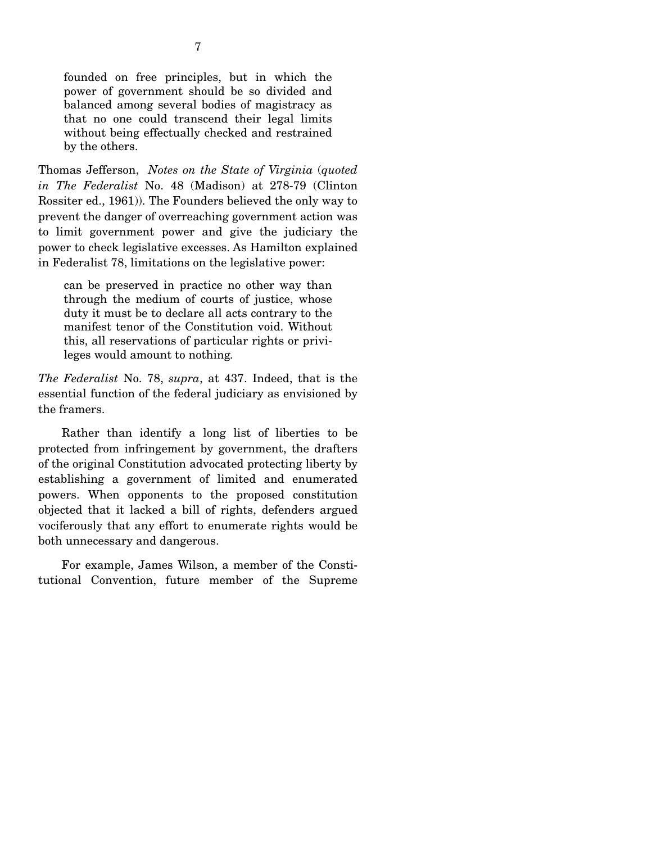founded on free principles, but in which the power of government should be so divided and balanced among several bodies of magistracy as that no one could transcend their legal limits without being effectually checked and restrained by the others.

Thomas Jefferson, *Notes on the State of Virginia* (*quoted in The Federalist* No. 48 (Madison) at 278-79 (Clinton Rossiter ed., 1961)). The Founders believed the only way to prevent the danger of overreaching government action was to limit government power and give the judiciary the power to check legislative excesses. As Hamilton explained in Federalist 78, limitations on the legislative power:

can be preserved in practice no other way than through the medium of courts of justice, whose duty it must be to declare all acts contrary to the manifest tenor of the Constitution void. Without this, all reservations of particular rights or privileges would amount to nothing*.*

*The Federalist* No. 78, *supra*, at 437. Indeed, that is the essential function of the federal judiciary as envisioned by the framers.

 Rather than identify a long list of liberties to be protected from infringement by government, the drafters of the original Constitution advocated protecting liberty by establishing a government of limited and enumerated powers. When opponents to the proposed constitution objected that it lacked a bill of rights, defenders argued vociferously that any effort to enumerate rights would be both unnecessary and dangerous.

 For example, James Wilson, a member of the Constitutional Convention, future member of the Supreme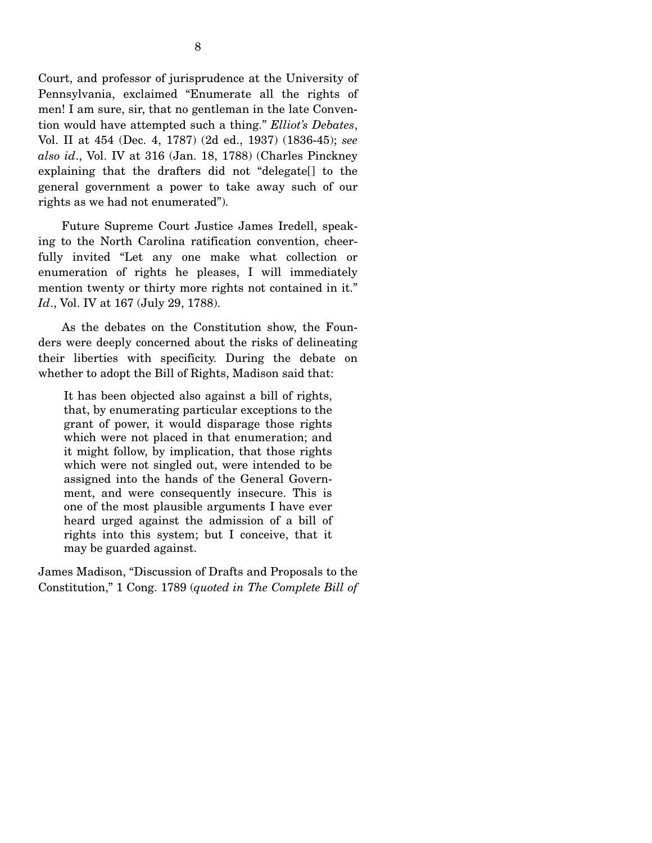Court, and professor of jurisprudence at the University of Pennsylvania, exclaimed "Enumerate all the rights of men! I am sure, sir, that no gentleman in the late Convention would have attempted such a thing." *Elliot's Debates*, Vol. II at 454 (Dec. 4, 1787) (2d ed., 1937) (1836-45); *see also id*., Vol. IV at 316 (Jan. 18, 1788) (Charles Pinckney explaining that the drafters did not "delegate[] to the general government a power to take away such of our rights as we had not enumerated").

 Future Supreme Court Justice James Iredell, speaking to the North Carolina ratification convention, cheerfully invited "Let any one make what collection or enumeration of rights he pleases, I will immediately mention twenty or thirty more rights not contained in it." *Id*., Vol. IV at 167 (July 29, 1788).

 As the debates on the Constitution show, the Founders were deeply concerned about the risks of delineating their liberties with specificity. During the debate on whether to adopt the Bill of Rights, Madison said that:

It has been objected also against a bill of rights, that, by enumerating particular exceptions to the grant of power, it would disparage those rights which were not placed in that enumeration; and it might follow, by implication, that those rights which were not singled out, were intended to be assigned into the hands of the General Government, and were consequently insecure. This is one of the most plausible arguments I have ever heard urged against the admission of a bill of rights into this system; but I conceive, that it may be guarded against.

James Madison, "Discussion of Drafts and Proposals to the Constitution," 1 Cong. 1789 (*quoted in The Complete Bill of*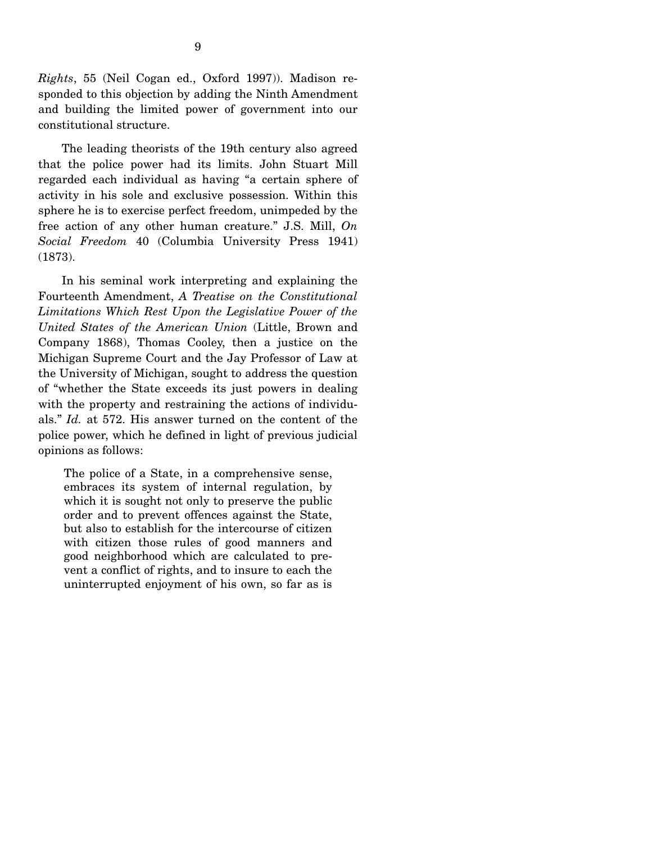*Rights*, 55 (Neil Cogan ed., Oxford 1997)). Madison responded to this objection by adding the Ninth Amendment and building the limited power of government into our constitutional structure.

 The leading theorists of the 19th century also agreed that the police power had its limits. John Stuart Mill regarded each individual as having "a certain sphere of activity in his sole and exclusive possession. Within this sphere he is to exercise perfect freedom, unimpeded by the free action of any other human creature." J.S. Mill, *On Social Freedom* 40 (Columbia University Press 1941) (1873).

 In his seminal work interpreting and explaining the Fourteenth Amendment, *A Treatise on the Constitutional Limitations Which Rest Upon the Legislative Power of the United States of the American Union* (Little, Brown and Company 1868), Thomas Cooley, then a justice on the Michigan Supreme Court and the Jay Professor of Law at the University of Michigan, sought to address the question of "whether the State exceeds its just powers in dealing with the property and restraining the actions of individuals." *Id.* at 572. His answer turned on the content of the police power, which he defined in light of previous judicial opinions as follows:

The police of a State, in a comprehensive sense, embraces its system of internal regulation, by which it is sought not only to preserve the public order and to prevent offences against the State, but also to establish for the intercourse of citizen with citizen those rules of good manners and good neighborhood which are calculated to prevent a conflict of rights, and to insure to each the uninterrupted enjoyment of his own, so far as is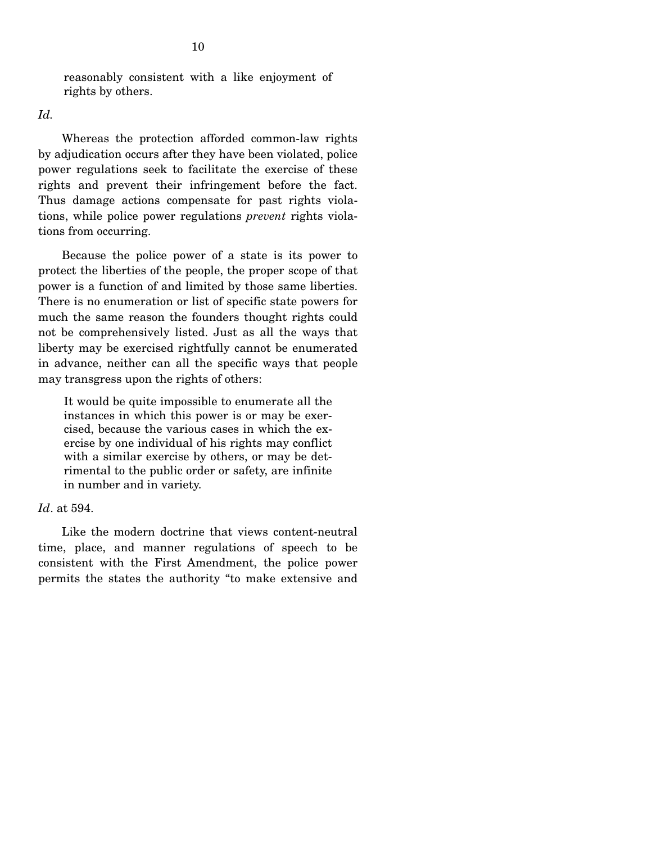reasonably consistent with a like enjoyment of rights by others.

*Id.* 

 Whereas the protection afforded common-law rights by adjudication occurs after they have been violated, police power regulations seek to facilitate the exercise of these rights and prevent their infringement before the fact. Thus damage actions compensate for past rights violations, while police power regulations *prevent* rights violations from occurring.

 Because the police power of a state is its power to protect the liberties of the people, the proper scope of that power is a function of and limited by those same liberties. There is no enumeration or list of specific state powers for much the same reason the founders thought rights could not be comprehensively listed. Just as all the ways that liberty may be exercised rightfully cannot be enumerated in advance, neither can all the specific ways that people may transgress upon the rights of others:

It would be quite impossible to enumerate all the instances in which this power is or may be exercised, because the various cases in which the exercise by one individual of his rights may conflict with a similar exercise by others, or may be detrimental to the public order or safety, are infinite in number and in variety.

#### *Id*. at 594.

 Like the modern doctrine that views content-neutral time, place, and manner regulations of speech to be consistent with the First Amendment, the police power permits the states the authority "to make extensive and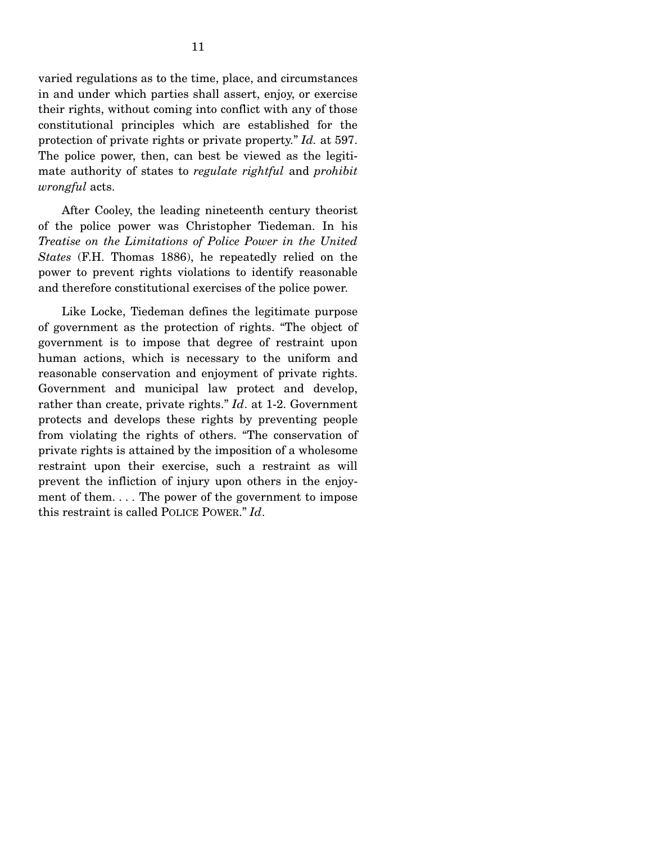varied regulations as to the time, place, and circumstances in and under which parties shall assert, enjoy, or exercise their rights, without coming into conflict with any of those constitutional principles which are established for the protection of private rights or private property." *Id.* at 597. The police power, then, can best be viewed as the legitimate authority of states to *regulate rightful* and *prohibit wrongful* acts.

 After Cooley, the leading nineteenth century theorist of the police power was Christopher Tiedeman. In his *Treatise on the Limitations of Police Power in the United States* (F.H. Thomas 1886), he repeatedly relied on the power to prevent rights violations to identify reasonable and therefore constitutional exercises of the police power.

 Like Locke, Tiedeman defines the legitimate purpose of government as the protection of rights. "The object of government is to impose that degree of restraint upon human actions, which is necessary to the uniform and reasonable conservation and enjoyment of private rights. Government and municipal law protect and develop, rather than create, private rights." *Id*. at 1-2. Government protects and develops these rights by preventing people from violating the rights of others. "The conservation of private rights is attained by the imposition of a wholesome restraint upon their exercise, such a restraint as will prevent the infliction of injury upon others in the enjoyment of them. . . . The power of the government to impose this restraint is called POLICE POWER." *Id*.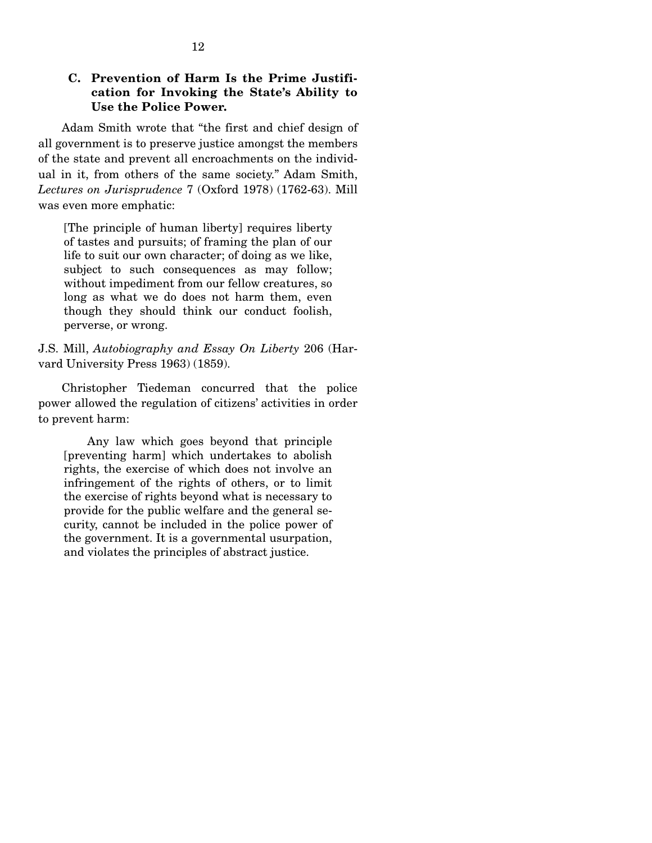# **C. Prevention of Harm Is the Prime Justification for Invoking the State's Ability to Use the Police Power.**

 Adam Smith wrote that "the first and chief design of all government is to preserve justice amongst the members of the state and prevent all encroachments on the individual in it, from others of the same society." Adam Smith, *Lectures on Jurisprudence* 7 (Oxford 1978) (1762-63). Mill was even more emphatic:

[The principle of human liberty] requires liberty of tastes and pursuits; of framing the plan of our life to suit our own character; of doing as we like, subject to such consequences as may follow; without impediment from our fellow creatures, so long as what we do does not harm them, even though they should think our conduct foolish, perverse, or wrong.

J.S. Mill, *Autobiography and Essay On Liberty* 206 (Harvard University Press 1963) (1859).

 Christopher Tiedeman concurred that the police power allowed the regulation of citizens' activities in order to prevent harm:

 Any law which goes beyond that principle [preventing harm] which undertakes to abolish rights, the exercise of which does not involve an infringement of the rights of others, or to limit the exercise of rights beyond what is necessary to provide for the public welfare and the general security, cannot be included in the police power of the government. It is a governmental usurpation, and violates the principles of abstract justice.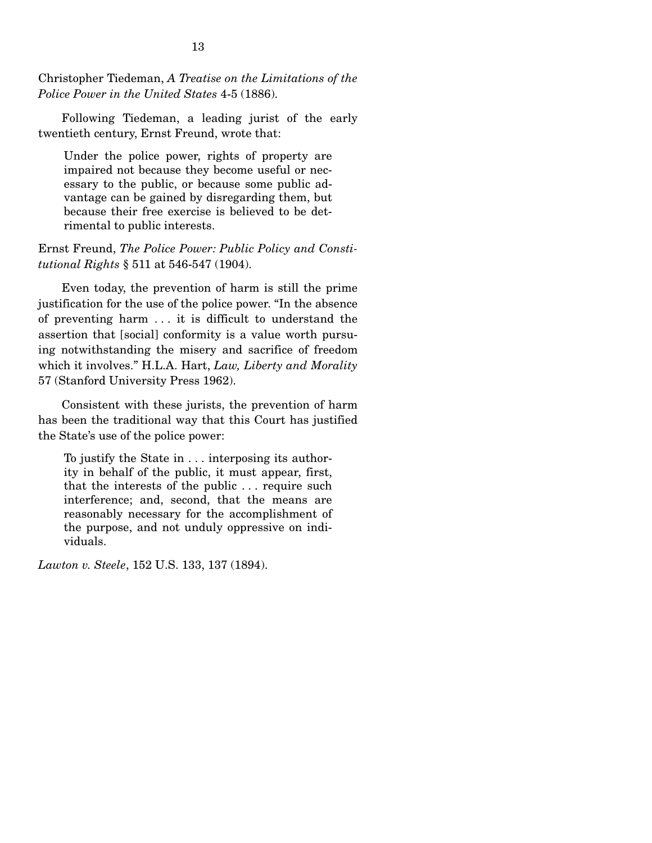Christopher Tiedeman, *A Treatise on the Limitations of the Police Power in the United States* 4-5 (1886).

 Following Tiedeman, a leading jurist of the early twentieth century, Ernst Freund, wrote that:

Under the police power, rights of property are impaired not because they become useful or necessary to the public, or because some public advantage can be gained by disregarding them, but because their free exercise is believed to be detrimental to public interests.

Ernst Freund, *The Police Power: Public Policy and Constitutional Rights* § 511 at 546-547 (1904).

 Even today, the prevention of harm is still the prime justification for the use of the police power. "In the absence of preventing harm . . . it is difficult to understand the assertion that [social] conformity is a value worth pursuing notwithstanding the misery and sacrifice of freedom which it involves." H.L.A. Hart, *Law, Liberty and Morality* 57 (Stanford University Press 1962).

 Consistent with these jurists, the prevention of harm has been the traditional way that this Court has justified the State's use of the police power:

To justify the State in . . . interposing its authority in behalf of the public, it must appear, first, that the interests of the public . . . require such interference; and, second, that the means are reasonably necessary for the accomplishment of the purpose, and not unduly oppressive on individuals.

*Lawton v. Steele*, 152 U.S. 133, 137 (1894).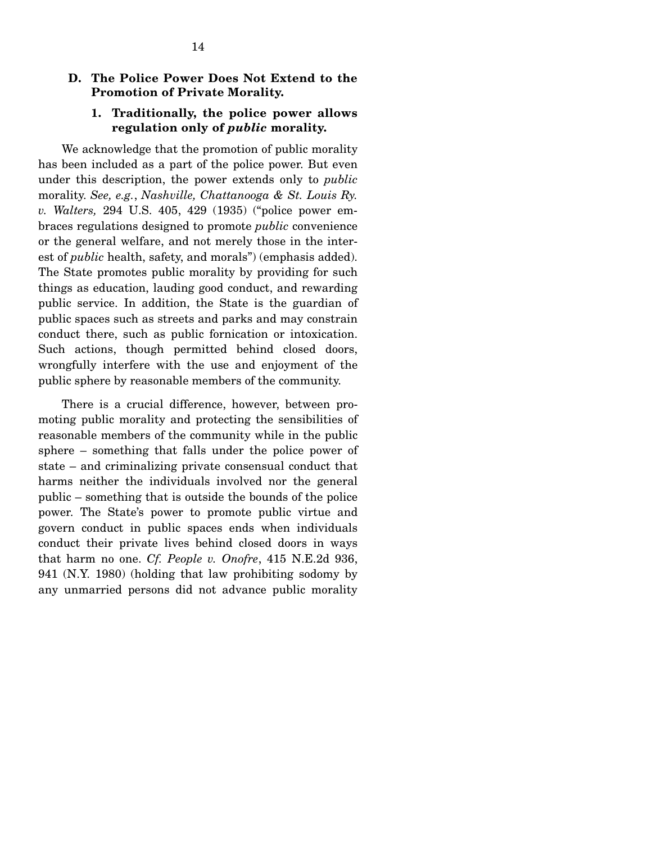### **D. The Police Power Does Not Extend to the Promotion of Private Morality.**

# **1. Traditionally, the police power allows regulation only of** *public* **morality.**

 We acknowledge that the promotion of public morality has been included as a part of the police power. But even under this description, the power extends only to *public* morality. *See, e.g.*, *Nashville, Chattanooga & St. Louis Ry. v. Walters,* 294 U.S. 405, 429 (1935) ("police power embraces regulations designed to promote *public* convenience or the general welfare, and not merely those in the interest of *public* health, safety, and morals") (emphasis added). The State promotes public morality by providing for such things as education, lauding good conduct, and rewarding public service. In addition, the State is the guardian of public spaces such as streets and parks and may constrain conduct there, such as public fornication or intoxication. Such actions, though permitted behind closed doors, wrongfully interfere with the use and enjoyment of the public sphere by reasonable members of the community.

 There is a crucial difference, however, between promoting public morality and protecting the sensibilities of reasonable members of the community while in the public sphere – something that falls under the police power of state – and criminalizing private consensual conduct that harms neither the individuals involved nor the general public – something that is outside the bounds of the police power. The State's power to promote public virtue and govern conduct in public spaces ends when individuals conduct their private lives behind closed doors in ways that harm no one. *Cf. People v. Onofre*, 415 N.E.2d 936, 941 (N.Y. 1980) (holding that law prohibiting sodomy by any unmarried persons did not advance public morality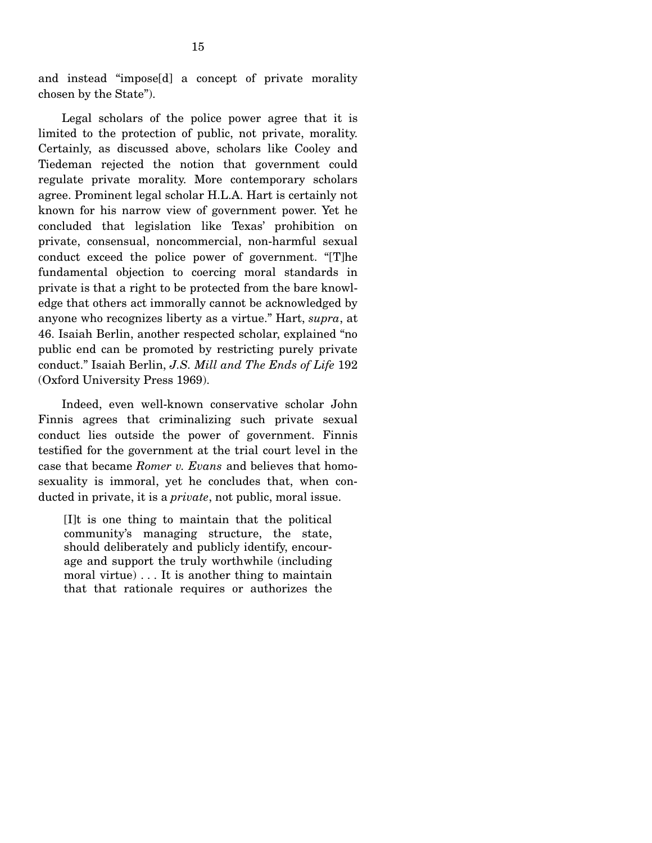and instead "impose[d] a concept of private morality chosen by the State").

 Legal scholars of the police power agree that it is limited to the protection of public, not private, morality. Certainly, as discussed above, scholars like Cooley and Tiedeman rejected the notion that government could regulate private morality. More contemporary scholars agree. Prominent legal scholar H.L.A. Hart is certainly not known for his narrow view of government power. Yet he concluded that legislation like Texas' prohibition on private, consensual, noncommercial, non-harmful sexual conduct exceed the police power of government. "[T]he fundamental objection to coercing moral standards in private is that a right to be protected from the bare knowledge that others act immorally cannot be acknowledged by anyone who recognizes liberty as a virtue." Hart, *supra*, at 46. Isaiah Berlin, another respected scholar, explained "no public end can be promoted by restricting purely private conduct." Isaiah Berlin, *J.S. Mill and The Ends of Life* 192 (Oxford University Press 1969).

 Indeed, even well-known conservative scholar John Finnis agrees that criminalizing such private sexual conduct lies outside the power of government. Finnis testified for the government at the trial court level in the case that became *Romer v. Evans* and believes that homosexuality is immoral, yet he concludes that, when conducted in private, it is a *private*, not public, moral issue.

[I]t is one thing to maintain that the political community's managing structure, the state, should deliberately and publicly identify, encourage and support the truly worthwhile (including moral virtue) . . . It is another thing to maintain that that rationale requires or authorizes the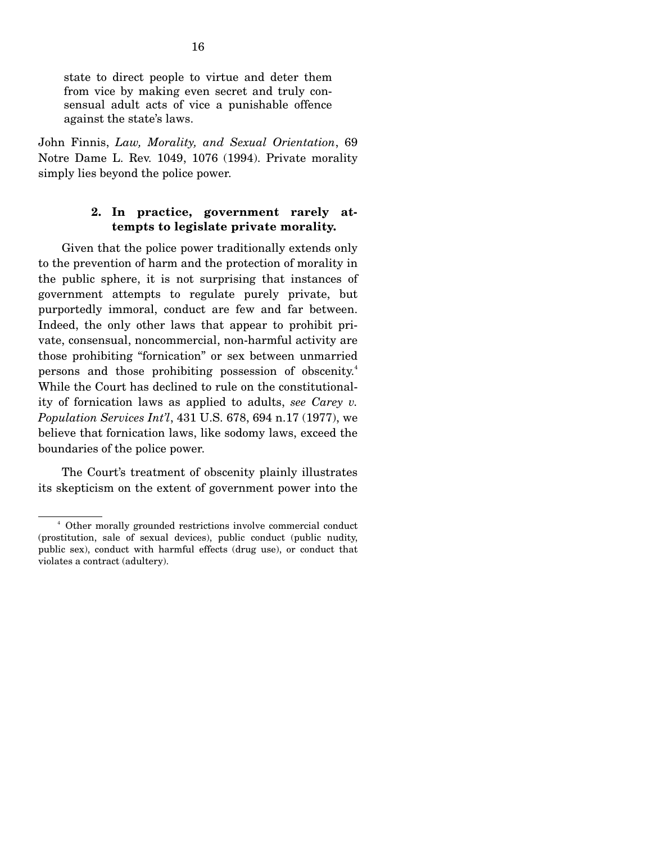state to direct people to virtue and deter them from vice by making even secret and truly consensual adult acts of vice a punishable offence against the state's laws.

John Finnis, *Law, Morality, and Sexual Orientation*, 69 Notre Dame L. Rev. 1049, 1076 (1994). Private morality simply lies beyond the police power.

# **2. In practice, government rarely attempts to legislate private morality.**

 Given that the police power traditionally extends only to the prevention of harm and the protection of morality in the public sphere, it is not surprising that instances of government attempts to regulate purely private, but purportedly immoral, conduct are few and far between. Indeed, the only other laws that appear to prohibit private, consensual, noncommercial, non-harmful activity are those prohibiting "fornication" or sex between unmarried persons and those prohibiting possession of obscenity.<sup>4</sup> While the Court has declined to rule on the constitutionality of fornication laws as applied to adults, *see Carey v. Population Services Int'l*, 431 U.S. 678, 694 n.17 (1977), we believe that fornication laws, like sodomy laws, exceed the boundaries of the police power.

 The Court's treatment of obscenity plainly illustrates its skepticism on the extent of government power into the

 $\sim$   $\frac{4}{3}$  Other morally grounded restrictions involve commercial conduct (prostitution, sale of sexual devices), public conduct (public nudity, public sex), conduct with harmful effects (drug use), or conduct that violates a contract (adultery).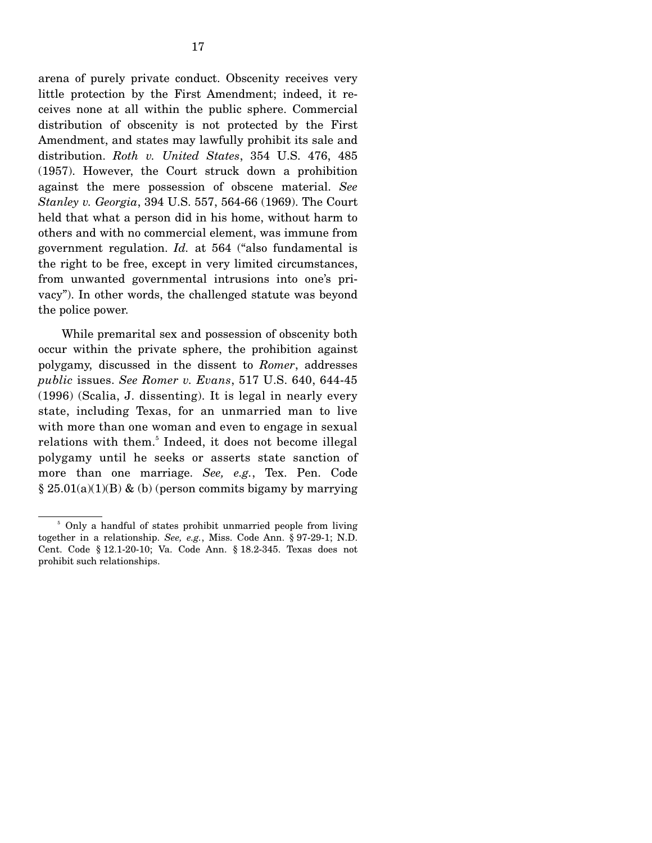arena of purely private conduct. Obscenity receives very little protection by the First Amendment; indeed, it receives none at all within the public sphere. Commercial distribution of obscenity is not protected by the First Amendment, and states may lawfully prohibit its sale and distribution. *Roth v. United States*, 354 U.S. 476, 485 (1957). However, the Court struck down a prohibition against the mere possession of obscene material. *See Stanley v. Georgia*, 394 U.S. 557, 564-66 (1969). The Court held that what a person did in his home, without harm to others and with no commercial element, was immune from government regulation. *Id.* at 564 ("also fundamental is the right to be free, except in very limited circumstances, from unwanted governmental intrusions into one's privacy"). In other words, the challenged statute was beyond the police power.

 While premarital sex and possession of obscenity both occur within the private sphere, the prohibition against polygamy, discussed in the dissent to *Romer*, addresses *public* issues. *See Romer v. Evans*, 517 U.S. 640, 644-45 (1996) (Scalia, J. dissenting). It is legal in nearly every state, including Texas, for an unmarried man to live with more than one woman and even to engage in sexual relations with them.<sup>5</sup> Indeed, it does not become illegal polygamy until he seeks or asserts state sanction of more than one marriage. *See, e.g.*, Tex. Pen. Code  $\S 25.01(a)(1)(B)$  & (b) (person commits bigamy by marrying

<sup>5</sup> Only a handful of states prohibit unmarried people from living together in a relationship. *See, e.g.*, Miss. Code Ann. § 97-29-1; N.D. Cent. Code § 12.1-20-10; Va. Code Ann. § 18.2-345. Texas does not prohibit such relationships.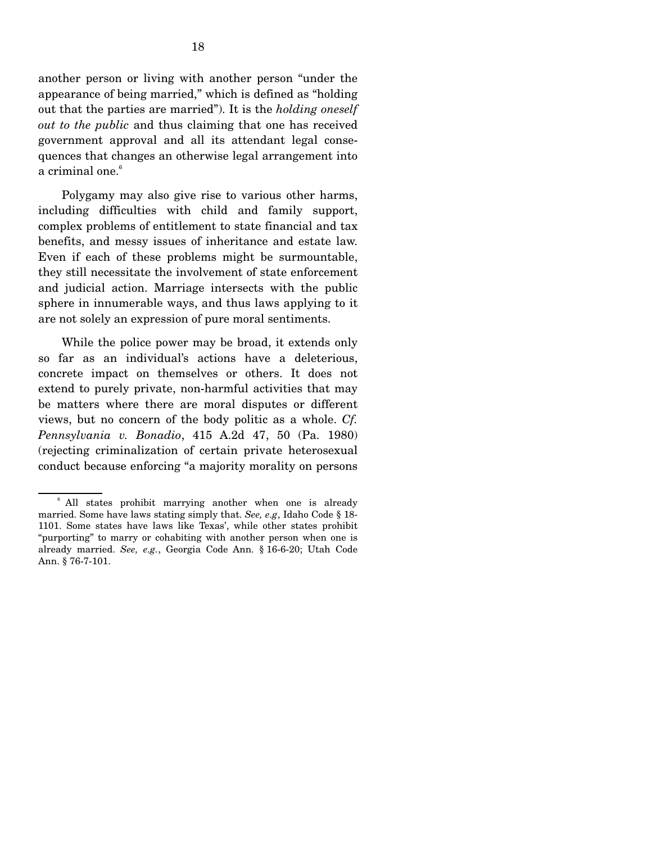another person or living with another person "under the appearance of being married," which is defined as "holding out that the parties are married"). It is the *holding oneself out to the public* and thus claiming that one has received government approval and all its attendant legal consequences that changes an otherwise legal arrangement into a criminal one.<sup>6</sup>

 Polygamy may also give rise to various other harms, including difficulties with child and family support, complex problems of entitlement to state financial and tax benefits, and messy issues of inheritance and estate law. Even if each of these problems might be surmountable, they still necessitate the involvement of state enforcement and judicial action. Marriage intersects with the public sphere in innumerable ways, and thus laws applying to it are not solely an expression of pure moral sentiments.

 While the police power may be broad, it extends only so far as an individual's actions have a deleterious, concrete impact on themselves or others. It does not extend to purely private, non-harmful activities that may be matters where there are moral disputes or different views, but no concern of the body politic as a whole. *Cf. Pennsylvania v. Bonadio*, 415 A.2d 47, 50 (Pa. 1980) (rejecting criminalization of certain private heterosexual conduct because enforcing "a majority morality on persons

<sup>&</sup>lt;sup>6</sup> All states prohibit marrying another when one is already married. Some have laws stating simply that. *See, e.g*, Idaho Code § 18- 1101. Some states have laws like Texas', while other states prohibit "purporting" to marry or cohabiting with another person when one is already married. *See, e.g.*, Georgia Code Ann. § 16-6-20; Utah Code Ann. § 76-7-101.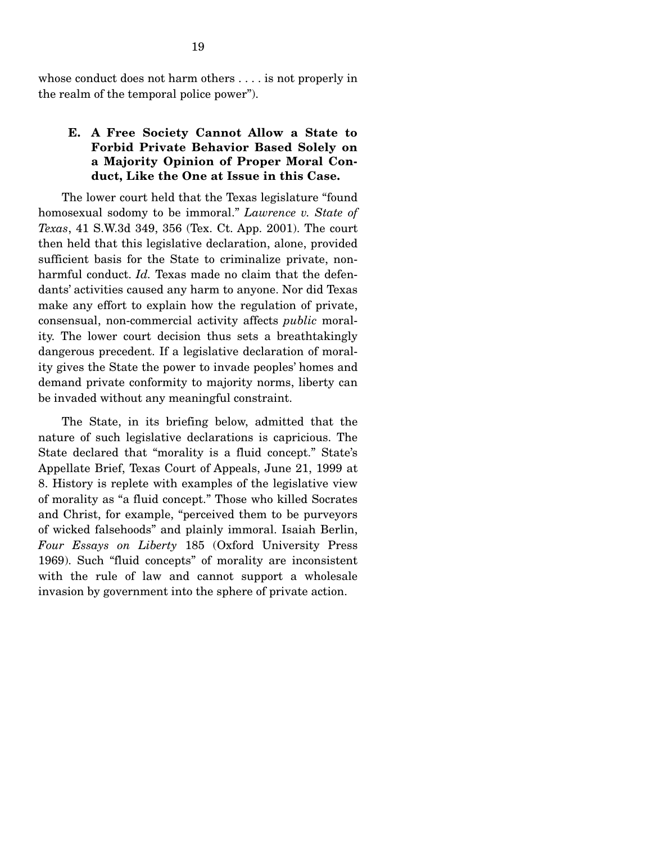whose conduct does not harm others . . . . is not properly in the realm of the temporal police power").

# **E. A Free Society Cannot Allow a State to Forbid Private Behavior Based Solely on a Majority Opinion of Proper Moral Conduct, Like the One at Issue in this Case.**

 The lower court held that the Texas legislature "found homosexual sodomy to be immoral." *Lawrence v. State of Texas*, 41 S.W.3d 349, 356 (Tex. Ct. App. 2001). The court then held that this legislative declaration, alone, provided sufficient basis for the State to criminalize private, nonharmful conduct. *Id.* Texas made no claim that the defendants' activities caused any harm to anyone. Nor did Texas make any effort to explain how the regulation of private, consensual, non-commercial activity affects *public* morality. The lower court decision thus sets a breathtakingly dangerous precedent. If a legislative declaration of morality gives the State the power to invade peoples' homes and demand private conformity to majority norms, liberty can be invaded without any meaningful constraint.

 The State, in its briefing below, admitted that the nature of such legislative declarations is capricious. The State declared that "morality is a fluid concept." State's Appellate Brief, Texas Court of Appeals, June 21, 1999 at 8. History is replete with examples of the legislative view of morality as "a fluid concept." Those who killed Socrates and Christ, for example, "perceived them to be purveyors of wicked falsehoods" and plainly immoral. Isaiah Berlin, *Four Essays on Liberty* 185 (Oxford University Press 1969). Such "fluid concepts" of morality are inconsistent with the rule of law and cannot support a wholesale invasion by government into the sphere of private action.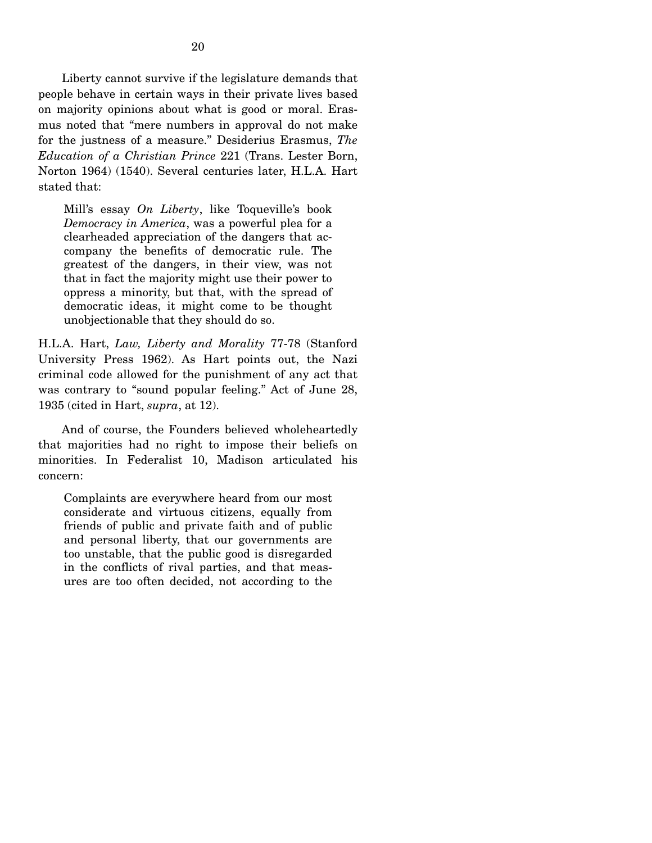Liberty cannot survive if the legislature demands that people behave in certain ways in their private lives based on majority opinions about what is good or moral. Erasmus noted that "mere numbers in approval do not make for the justness of a measure." Desiderius Erasmus, *The Education of a Christian Prince* 221 (Trans. Lester Born, Norton 1964) (1540). Several centuries later, H.L.A. Hart stated that:

Mill's essay *On Liberty*, like Toqueville's book *Democracy in America*, was a powerful plea for a clearheaded appreciation of the dangers that accompany the benefits of democratic rule. The greatest of the dangers, in their view, was not that in fact the majority might use their power to oppress a minority, but that, with the spread of democratic ideas, it might come to be thought unobjectionable that they should do so.

H.L.A. Hart, *Law, Liberty and Morality* 77-78 (Stanford University Press 1962). As Hart points out, the Nazi criminal code allowed for the punishment of any act that was contrary to "sound popular feeling." Act of June 28, 1935 (cited in Hart, *supra*, at 12).

 And of course, the Founders believed wholeheartedly that majorities had no right to impose their beliefs on minorities. In Federalist 10, Madison articulated his concern:

Complaints are everywhere heard from our most considerate and virtuous citizens, equally from friends of public and private faith and of public and personal liberty, that our governments are too unstable, that the public good is disregarded in the conflicts of rival parties, and that measures are too often decided, not according to the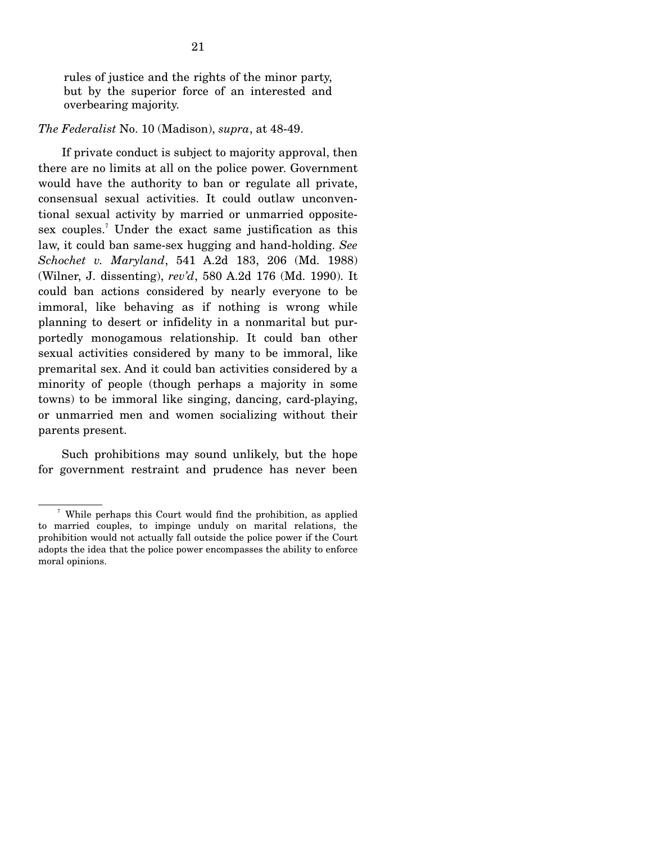rules of justice and the rights of the minor party, but by the superior force of an interested and overbearing majority.

#### *The Federalist* No. 10 (Madison), *supra*, at 48-49.

 If private conduct is subject to majority approval, then there are no limits at all on the police power. Government would have the authority to ban or regulate all private, consensual sexual activities. It could outlaw unconventional sexual activity by married or unmarried oppositesex couples.<sup>7</sup> Under the exact same justification as this law, it could ban same-sex hugging and hand-holding. *See Schochet v. Maryland*, 541 A.2d 183, 206 (Md. 1988) (Wilner, J. dissenting), *rev'd*, 580 A.2d 176 (Md. 1990). It could ban actions considered by nearly everyone to be immoral, like behaving as if nothing is wrong while planning to desert or infidelity in a nonmarital but purportedly monogamous relationship. It could ban other sexual activities considered by many to be immoral, like premarital sex. And it could ban activities considered by a minority of people (though perhaps a majority in some towns) to be immoral like singing, dancing, card-playing, or unmarried men and women socializing without their parents present.

 Such prohibitions may sound unlikely, but the hope for government restraint and prudence has never been

<sup>7</sup> While perhaps this Court would find the prohibition, as applied to married couples, to impinge unduly on marital relations, the prohibition would not actually fall outside the police power if the Court adopts the idea that the police power encompasses the ability to enforce moral opinions.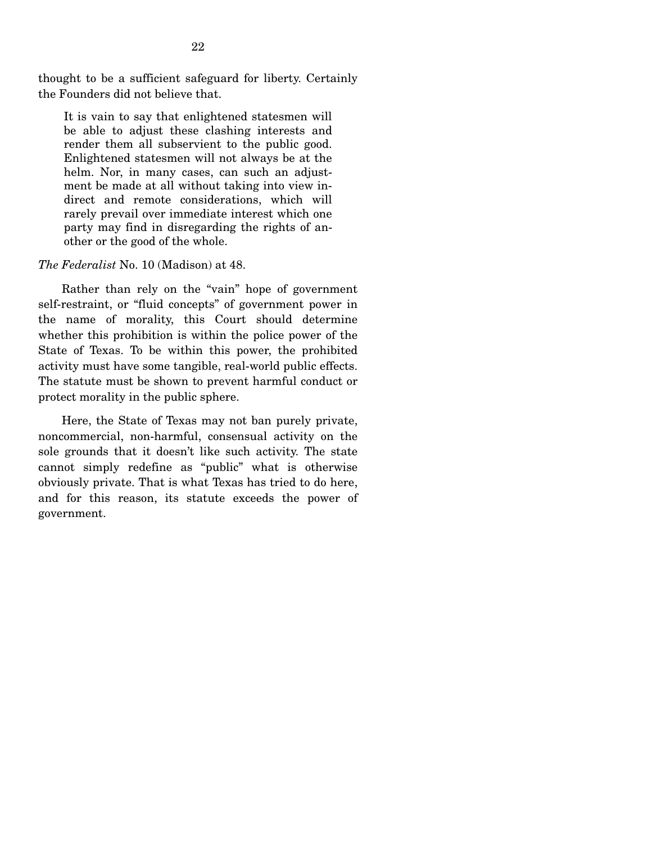thought to be a sufficient safeguard for liberty. Certainly the Founders did not believe that.

It is vain to say that enlightened statesmen will be able to adjust these clashing interests and render them all subservient to the public good. Enlightened statesmen will not always be at the helm. Nor, in many cases, can such an adjustment be made at all without taking into view indirect and remote considerations, which will rarely prevail over immediate interest which one party may find in disregarding the rights of another or the good of the whole.

#### *The Federalist* No. 10 (Madison) at 48.

 Rather than rely on the "vain" hope of government self-restraint, or "fluid concepts" of government power in the name of morality, this Court should determine whether this prohibition is within the police power of the State of Texas. To be within this power, the prohibited activity must have some tangible, real-world public effects. The statute must be shown to prevent harmful conduct or protect morality in the public sphere.

 Here, the State of Texas may not ban purely private, noncommercial, non-harmful, consensual activity on the sole grounds that it doesn't like such activity. The state cannot simply redefine as "public" what is otherwise obviously private. That is what Texas has tried to do here, and for this reason, its statute exceeds the power of government.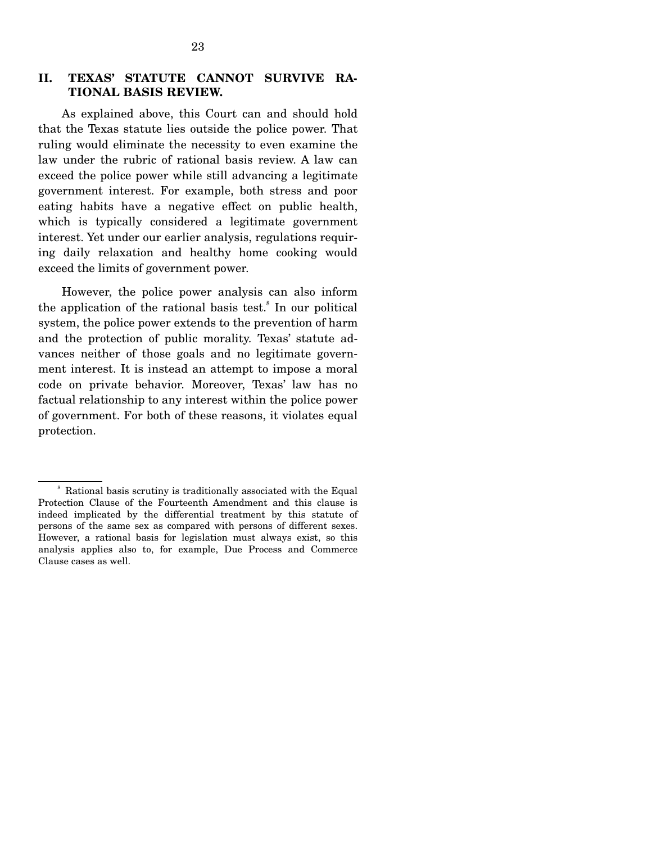# **II. TEXAS' STATUTE CANNOT SURVIVE RA-TIONAL BASIS REVIEW.**

 As explained above, this Court can and should hold that the Texas statute lies outside the police power. That ruling would eliminate the necessity to even examine the law under the rubric of rational basis review. A law can exceed the police power while still advancing a legitimate government interest. For example, both stress and poor eating habits have a negative effect on public health, which is typically considered a legitimate government interest. Yet under our earlier analysis, regulations requiring daily relaxation and healthy home cooking would exceed the limits of government power.

 However, the police power analysis can also inform the application of the rational basis test. $\delta$  In our political system, the police power extends to the prevention of harm and the protection of public morality. Texas' statute advances neither of those goals and no legitimate government interest. It is instead an attempt to impose a moral code on private behavior. Moreover, Texas' law has no factual relationship to any interest within the police power of government. For both of these reasons, it violates equal protection.

<sup>8</sup> Rational basis scrutiny is traditionally associated with the Equal Protection Clause of the Fourteenth Amendment and this clause is indeed implicated by the differential treatment by this statute of persons of the same sex as compared with persons of different sexes. However, a rational basis for legislation must always exist, so this analysis applies also to, for example, Due Process and Commerce Clause cases as well.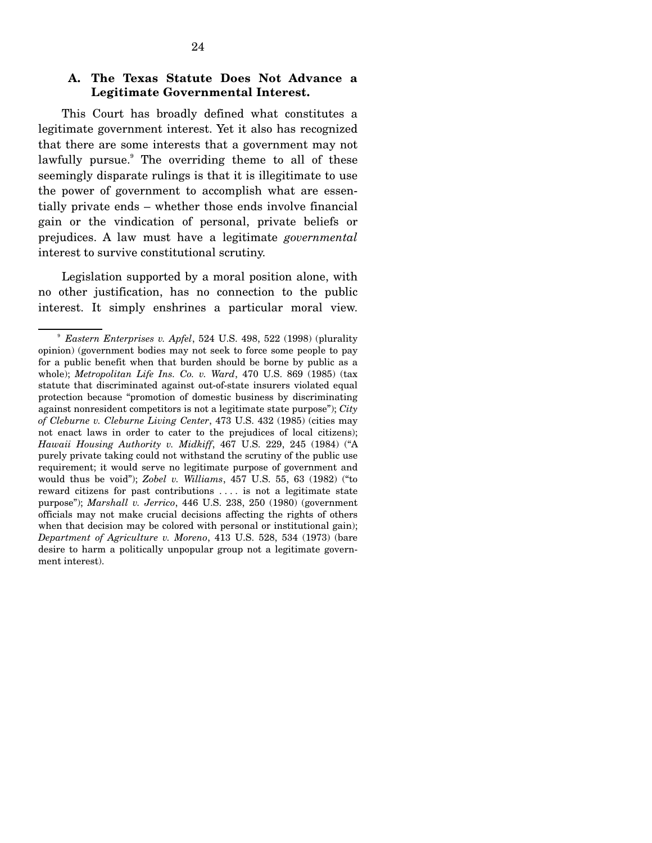## **A. The Texas Statute Does Not Advance a Legitimate Governmental Interest.**

 This Court has broadly defined what constitutes a legitimate government interest. Yet it also has recognized that there are some interests that a government may not lawfully pursue.<sup>9</sup> The overriding theme to all of these seemingly disparate rulings is that it is illegitimate to use the power of government to accomplish what are essentially private ends – whether those ends involve financial gain or the vindication of personal, private beliefs or prejudices. A law must have a legitimate *governmental* interest to survive constitutional scrutiny.

 Legislation supported by a moral position alone, with no other justification, has no connection to the public interest. It simply enshrines a particular moral view.

<sup>9</sup> *Eastern Enterprises v. Apfel*, 524 U.S. 498, 522 (1998) (plurality opinion) (government bodies may not seek to force some people to pay for a public benefit when that burden should be borne by public as a whole); *Metropolitan Life Ins. Co. v. Ward*, 470 U.S. 869 (1985) (tax statute that discriminated against out-of-state insurers violated equal protection because "promotion of domestic business by discriminating against nonresident competitors is not a legitimate state purpose"); *City of Cleburne v. Cleburne Living Center*, 473 U.S. 432 (1985) (cities may not enact laws in order to cater to the prejudices of local citizens); *Hawaii Housing Authority v. Midkiff*, 467 U.S. 229, 245 (1984) ("A purely private taking could not withstand the scrutiny of the public use requirement; it would serve no legitimate purpose of government and would thus be void"); *Zobel v. Williams*, 457 U.S. 55, 63 (1982) ("to reward citizens for past contributions . . . . is not a legitimate state purpose"); *Marshall v. Jerrico*, 446 U.S. 238, 250 (1980) (government officials may not make crucial decisions affecting the rights of others when that decision may be colored with personal or institutional gain); *Department of Agriculture v. Moreno*, 413 U.S. 528, 534 (1973) (bare desire to harm a politically unpopular group not a legitimate government interest).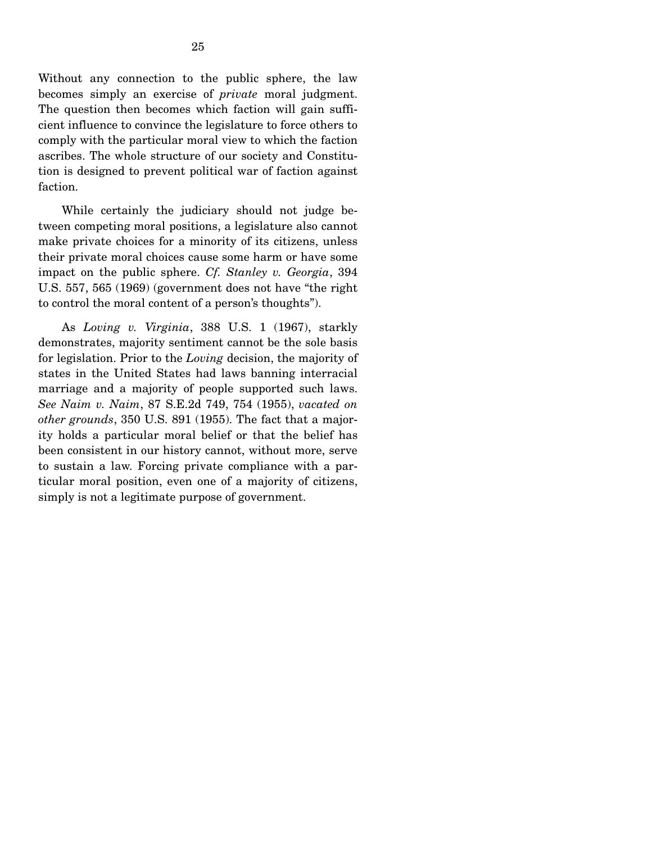Without any connection to the public sphere, the law becomes simply an exercise of *private* moral judgment. The question then becomes which faction will gain sufficient influence to convince the legislature to force others to comply with the particular moral view to which the faction ascribes. The whole structure of our society and Constitution is designed to prevent political war of faction against faction.

 While certainly the judiciary should not judge between competing moral positions, a legislature also cannot make private choices for a minority of its citizens, unless their private moral choices cause some harm or have some impact on the public sphere. *Cf. Stanley v. Georgia*, 394 U.S. 557, 565 (1969) (government does not have "the right to control the moral content of a person's thoughts").

 As *Loving v. Virginia*, 388 U.S. 1 (1967), starkly demonstrates, majority sentiment cannot be the sole basis for legislation. Prior to the *Loving* decision, the majority of states in the United States had laws banning interracial marriage and a majority of people supported such laws. *See Naim v. Naim*, 87 S.E.2d 749, 754 (1955), *vacated on other grounds*, 350 U.S. 891 (1955). The fact that a majority holds a particular moral belief or that the belief has been consistent in our history cannot, without more, serve to sustain a law. Forcing private compliance with a particular moral position, even one of a majority of citizens, simply is not a legitimate purpose of government.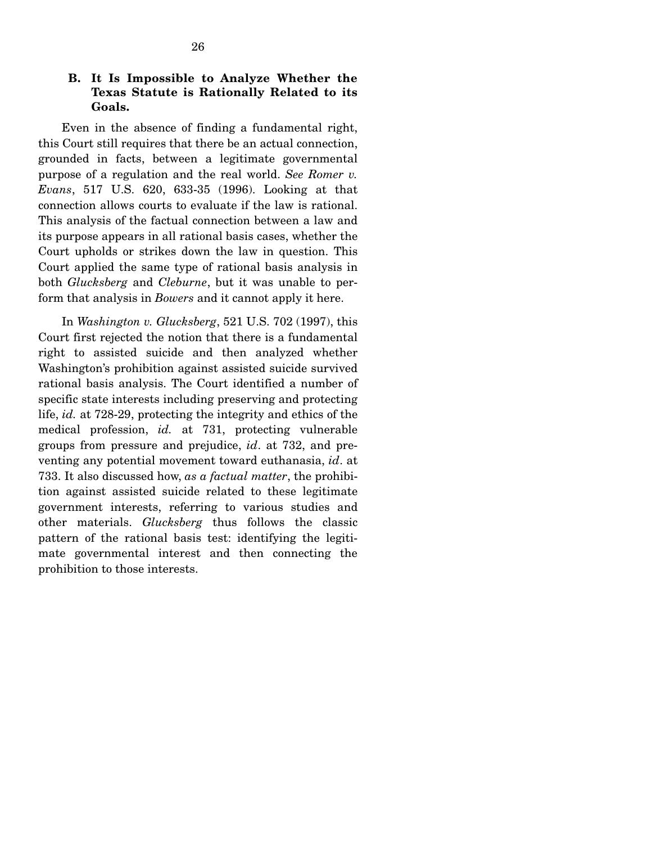# **B. It Is Impossible to Analyze Whether the Texas Statute is Rationally Related to its Goals.**

 Even in the absence of finding a fundamental right, this Court still requires that there be an actual connection, grounded in facts, between a legitimate governmental purpose of a regulation and the real world. *See Romer v. Evans*, 517 U.S. 620, 633-35 (1996). Looking at that connection allows courts to evaluate if the law is rational. This analysis of the factual connection between a law and its purpose appears in all rational basis cases, whether the Court upholds or strikes down the law in question. This Court applied the same type of rational basis analysis in both *Glucksberg* and *Cleburne*, but it was unable to perform that analysis in *Bowers* and it cannot apply it here.

 In *Washington v. Glucksberg*, 521 U.S. 702 (1997), this Court first rejected the notion that there is a fundamental right to assisted suicide and then analyzed whether Washington's prohibition against assisted suicide survived rational basis analysis. The Court identified a number of specific state interests including preserving and protecting life, *id.* at 728-29, protecting the integrity and ethics of the medical profession, *id.* at 731, protecting vulnerable groups from pressure and prejudice, *id*. at 732, and preventing any potential movement toward euthanasia, *id*. at 733. It also discussed how, *as a factual matter*, the prohibition against assisted suicide related to these legitimate government interests, referring to various studies and other materials. *Glucksberg* thus follows the classic pattern of the rational basis test: identifying the legitimate governmental interest and then connecting the prohibition to those interests.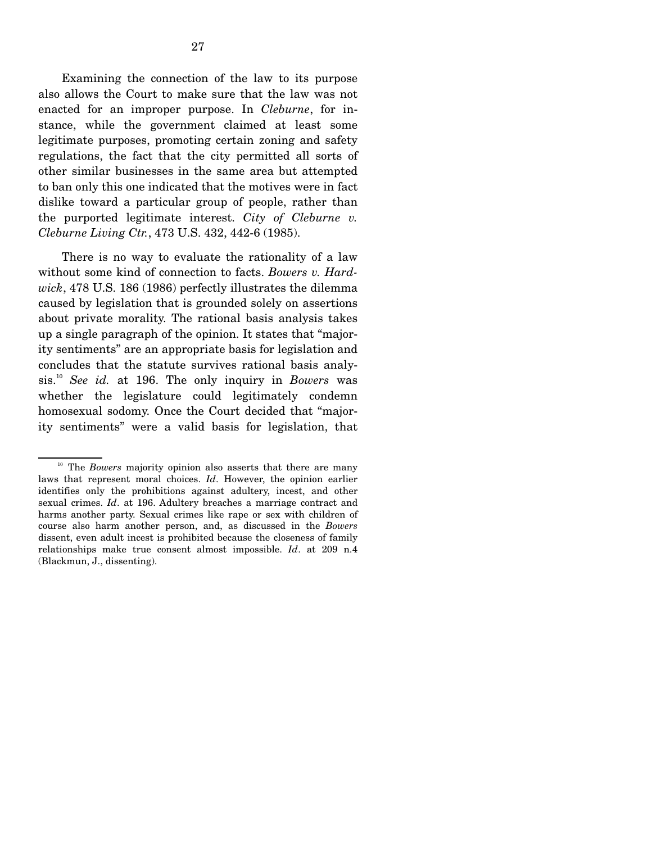Examining the connection of the law to its purpose also allows the Court to make sure that the law was not enacted for an improper purpose. In *Cleburne*, for instance, while the government claimed at least some legitimate purposes, promoting certain zoning and safety regulations, the fact that the city permitted all sorts of other similar businesses in the same area but attempted to ban only this one indicated that the motives were in fact dislike toward a particular group of people, rather than the purported legitimate interest. *City of Cleburne v. Cleburne Living Ctr.*, 473 U.S. 432, 442-6 (1985).

 There is no way to evaluate the rationality of a law without some kind of connection to facts. *Bowers v. Hardwick*, 478 U.S. 186 (1986) perfectly illustrates the dilemma caused by legislation that is grounded solely on assertions about private morality. The rational basis analysis takes up a single paragraph of the opinion. It states that "majority sentiments" are an appropriate basis for legislation and concludes that the statute survives rational basis analysis.10 *See id.* at 196. The only inquiry in *Bowers* was whether the legislature could legitimately condemn homosexual sodomy. Once the Court decided that "majority sentiments" were a valid basis for legislation, that

<sup>&</sup>lt;sup>10</sup> The *Bowers* majority opinion also asserts that there are many laws that represent moral choices. *Id*. However, the opinion earlier identifies only the prohibitions against adultery, incest, and other sexual crimes. *Id*. at 196. Adultery breaches a marriage contract and harms another party. Sexual crimes like rape or sex with children of course also harm another person, and, as discussed in the *Bowers* dissent, even adult incest is prohibited because the closeness of family relationships make true consent almost impossible. *Id*. at 209 n.4 (Blackmun, J., dissenting).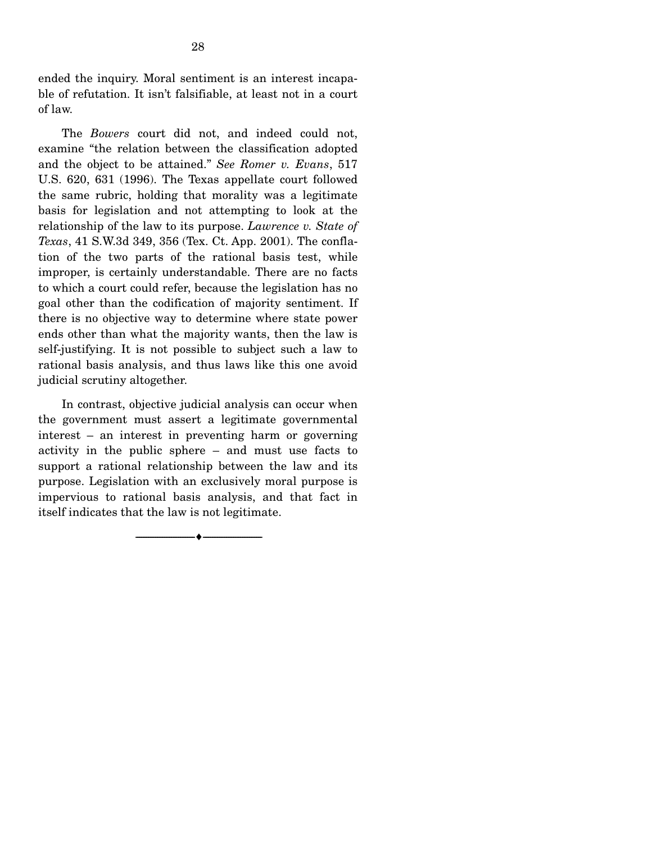ended the inquiry. Moral sentiment is an interest incapable of refutation. It isn't falsifiable, at least not in a court of law.

 The *Bowers* court did not, and indeed could not, examine "the relation between the classification adopted and the object to be attained." *See Romer v. Evans*, 517 U.S. 620, 631 (1996). The Texas appellate court followed the same rubric, holding that morality was a legitimate basis for legislation and not attempting to look at the relationship of the law to its purpose. *Lawrence v. State of Texas*, 41 S.W.3d 349, 356 (Tex. Ct. App. 2001). The conflation of the two parts of the rational basis test, while improper, is certainly understandable. There are no facts to which a court could refer, because the legislation has no goal other than the codification of majority sentiment. If there is no objective way to determine where state power ends other than what the majority wants, then the law is self-justifying. It is not possible to subject such a law to rational basis analysis, and thus laws like this one avoid judicial scrutiny altogether.

 In contrast, objective judicial analysis can occur when the government must assert a legitimate governmental interest – an interest in preventing harm or governing activity in the public sphere – and must use facts to support a rational relationship between the law and its purpose. Legislation with an exclusively moral purpose is impervious to rational basis analysis, and that fact in itself indicates that the law is not legitimate.

--------------------------------- ♦ ---------------------------------